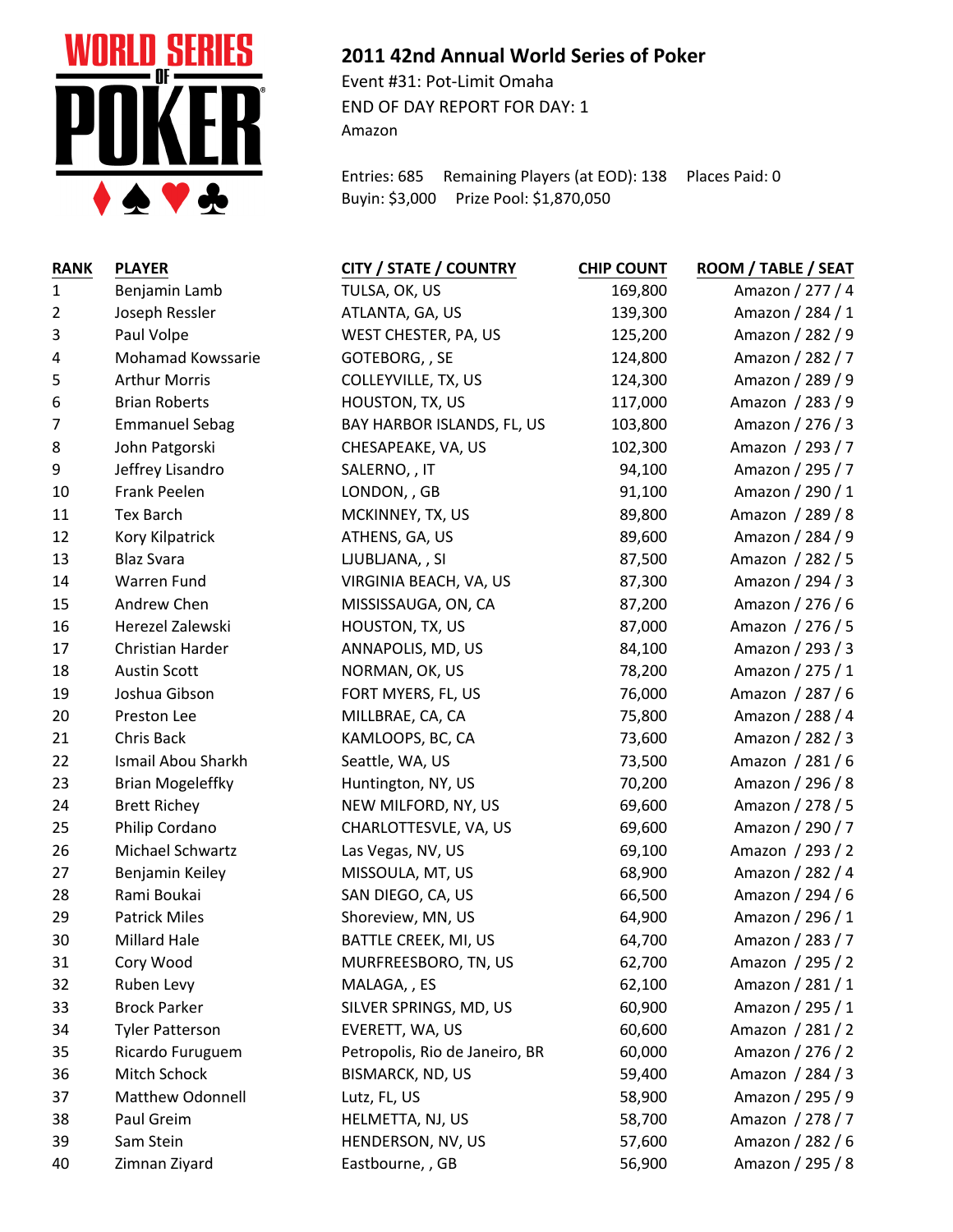

## **2011 42nd Annual World Series of Poker**

Event #31: Pot-Limit Omaha END OF DAY REPORT FOR DAY: 1 Amazon

Entries: 685 Remaining Players (at EOD): 138 Places Paid: 0 Buyin: \$3,000 Prize Pool: \$1,870,050

| <b>RANK</b>    | <b>PLAYER</b>           | <b>CITY / STATE / COUNTRY</b>  | <b>CHIP COUNT</b> | ROOM / TABLE / SEAT |
|----------------|-------------------------|--------------------------------|-------------------|---------------------|
| $\mathbf{1}$   | Benjamin Lamb           | TULSA, OK, US                  | 169,800           | Amazon / 277 / 4    |
| $\overline{2}$ | Joseph Ressler          | ATLANTA, GA, US                | 139,300           | Amazon / 284 / 1    |
| 3              | Paul Volpe              | WEST CHESTER, PA, US           | 125,200           | Amazon / 282 / 9    |
| 4              | Mohamad Kowssarie       | GOTEBORG, , SE                 | 124,800           | Amazon / 282 / 7    |
| 5              | <b>Arthur Morris</b>    | COLLEYVILLE, TX, US            | 124,300           | Amazon / 289 / 9    |
| 6              | <b>Brian Roberts</b>    | HOUSTON, TX, US                | 117,000           | Amazon / 283 / 9    |
| 7              | <b>Emmanuel Sebag</b>   | BAY HARBOR ISLANDS, FL, US     | 103,800           | Amazon / 276 / 3    |
| 8              | John Patgorski          | CHESAPEAKE, VA, US             | 102,300           | Amazon / 293 / 7    |
| 9              | Jeffrey Lisandro        | SALERNO, , IT                  | 94,100            | Amazon / 295 / 7    |
| 10             | Frank Peelen            | LONDON, , GB                   | 91,100            | Amazon / 290 / 1    |
| 11             | <b>Tex Barch</b>        | MCKINNEY, TX, US               | 89,800            | Amazon / 289 / 8    |
| 12             | Kory Kilpatrick         | ATHENS, GA, US                 | 89,600            | Amazon / 284 / 9    |
| 13             | <b>Blaz Svara</b>       | LJUBLJANA, , SI                | 87,500            | Amazon / 282 / 5    |
| 14             | Warren Fund             | VIRGINIA BEACH, VA, US         | 87,300            | Amazon / 294 / 3    |
| 15             | Andrew Chen             | MISSISSAUGA, ON, CA            | 87,200            | Amazon / 276 / 6    |
| 16             | Herezel Zalewski        | HOUSTON, TX, US                | 87,000            | Amazon / 276 / 5    |
| 17             | Christian Harder        | ANNAPOLIS, MD, US              | 84,100            | Amazon / 293 / 3    |
| 18             | <b>Austin Scott</b>     | NORMAN, OK, US                 | 78,200            | Amazon / 275 / 1    |
| 19             | Joshua Gibson           | FORT MYERS, FL, US             | 76,000            | Amazon / 287 / 6    |
| 20             | Preston Lee             | MILLBRAE, CA, CA               | 75,800            | Amazon / 288 / 4    |
| 21             | Chris Back              | KAMLOOPS, BC, CA               | 73,600            | Amazon / 282 / 3    |
| 22             | Ismail Abou Sharkh      | Seattle, WA, US                | 73,500            | Amazon / 281 / 6    |
| 23             | <b>Brian Mogeleffky</b> | Huntington, NY, US             | 70,200            | Amazon / 296 / 8    |
| 24             | <b>Brett Richey</b>     | NEW MILFORD, NY, US            | 69,600            | Amazon / 278 / 5    |
| 25             | Philip Cordano          | CHARLOTTESVLE, VA, US          | 69,600            | Amazon / 290 / 7    |
| 26             | Michael Schwartz        | Las Vegas, NV, US              | 69,100            | Amazon / 293 / 2    |
| 27             | Benjamin Keiley         | MISSOULA, MT, US               | 68,900            | Amazon / 282 / 4    |
| 28             | Rami Boukai             | SAN DIEGO, CA, US              | 66,500            | Amazon / 294 / 6    |
| 29             | <b>Patrick Miles</b>    | Shoreview, MN, US              | 64,900            | Amazon / 296 / 1    |
| 30             | Millard Hale            | BATTLE CREEK, MI, US           | 64,700            | Amazon / 283 / 7    |
| 31             | Cory Wood               | MURFREESBORO, TN, US           | 62,700            | Amazon / 295 / 2    |
| 32             | Ruben Levy              | MALAGA, , ES                   | 62,100            | Amazon / 281 / 1    |
| 33             | <b>Brock Parker</b>     | SILVER SPRINGS, MD, US         | 60,900            | Amazon / 295 / 1    |
| 34             | <b>Tyler Patterson</b>  | EVERETT, WA, US                | 60,600            | Amazon / 281 / 2    |
| 35             | Ricardo Furuguem        | Petropolis, Rio de Janeiro, BR | 60,000            | Amazon / 276 / 2    |
| 36             | Mitch Schock            | <b>BISMARCK, ND, US</b>        | 59,400            | Amazon / 284 / 3    |
| 37             | Matthew Odonnell        | Lutz, FL, US                   | 58,900            | Amazon / 295 / 9    |
| 38             | Paul Greim              | HELMETTA, NJ, US               | 58,700            | Amazon / 278 / 7    |
| 39             | Sam Stein               | HENDERSON, NV, US              | 57,600            | Amazon / 282 / 6    |
| 40             | Zimnan Ziyard           | Eastbourne, , GB               | 56,900            | Amazon / 295 / 8    |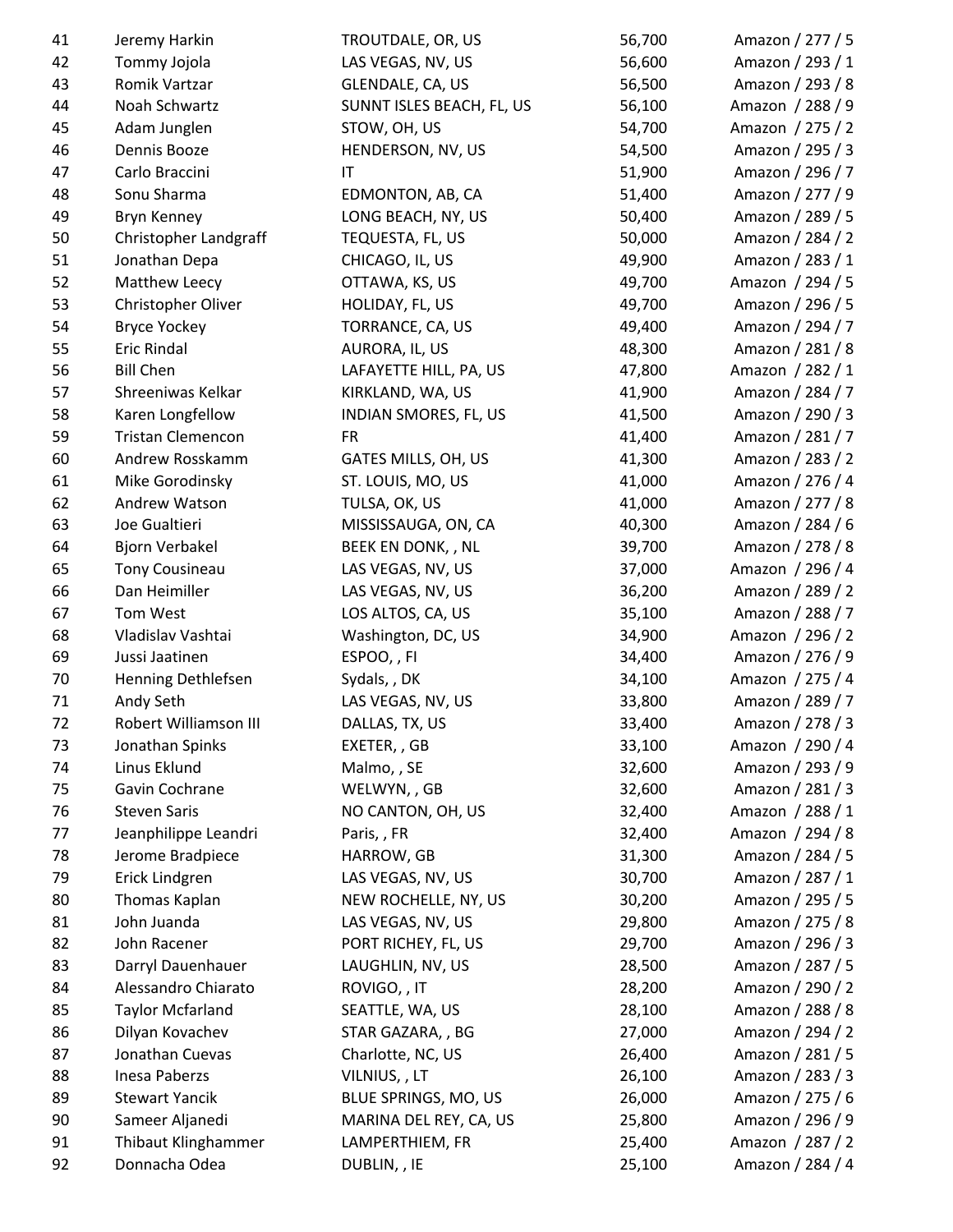| 41 | Jeremy Harkin            | TROUTDALE, OR, US         | 56,700 | Amazon / 277 / 5 |
|----|--------------------------|---------------------------|--------|------------------|
| 42 | Tommy Jojola             | LAS VEGAS, NV, US         | 56,600 | Amazon / 293 / 1 |
| 43 | Romik Vartzar            | GLENDALE, CA, US          | 56,500 | Amazon / 293 / 8 |
| 44 | Noah Schwartz            | SUNNT ISLES BEACH, FL, US | 56,100 | Amazon / 288 / 9 |
| 45 | Adam Junglen             | STOW, OH, US              | 54,700 | Amazon / 275 / 2 |
| 46 | Dennis Booze             | HENDERSON, NV, US         | 54,500 | Amazon / 295 / 3 |
| 47 | Carlo Braccini           | IT                        | 51,900 | Amazon / 296 / 7 |
| 48 | Sonu Sharma              | EDMONTON, AB, CA          | 51,400 | Amazon / 277 / 9 |
| 49 | Bryn Kenney              | LONG BEACH, NY, US        | 50,400 | Amazon / 289 / 5 |
| 50 | Christopher Landgraff    | TEQUESTA, FL, US          | 50,000 | Amazon / 284 / 2 |
| 51 | Jonathan Depa            | CHICAGO, IL, US           | 49,900 | Amazon / 283 / 1 |
| 52 | Matthew Leecy            | OTTAWA, KS, US            | 49,700 | Amazon / 294 / 5 |
| 53 | Christopher Oliver       | HOLIDAY, FL, US           | 49,700 | Amazon / 296 / 5 |
| 54 | <b>Bryce Yockey</b>      | TORRANCE, CA, US          | 49,400 | Amazon / 294 / 7 |
| 55 | <b>Eric Rindal</b>       | AURORA, IL, US            | 48,300 | Amazon / 281 / 8 |
| 56 | <b>Bill Chen</b>         | LAFAYETTE HILL, PA, US    | 47,800 | Amazon / 282 / 1 |
| 57 | Shreeniwas Kelkar        | KIRKLAND, WA, US          | 41,900 | Amazon / 284 / 7 |
| 58 | Karen Longfellow         | INDIAN SMORES, FL, US     | 41,500 | Amazon / 290 / 3 |
| 59 | <b>Tristan Clemencon</b> | <b>FR</b>                 | 41,400 | Amazon / 281 / 7 |
| 60 | Andrew Rosskamm          | GATES MILLS, OH, US       | 41,300 | Amazon / 283 / 2 |
| 61 | Mike Gorodinsky          | ST. LOUIS, MO, US         | 41,000 | Amazon / 276 / 4 |
| 62 | Andrew Watson            | TULSA, OK, US             | 41,000 | Amazon / 277 / 8 |
| 63 | Joe Gualtieri            | MISSISSAUGA, ON, CA       | 40,300 | Amazon / 284 / 6 |
| 64 | Bjorn Verbakel           | BEEK EN DONK, , NL        | 39,700 | Amazon / 278 / 8 |
| 65 | Tony Cousineau           | LAS VEGAS, NV, US         | 37,000 | Amazon / 296 / 4 |
| 66 | Dan Heimiller            | LAS VEGAS, NV, US         | 36,200 | Amazon / 289 / 2 |
| 67 | Tom West                 | LOS ALTOS, CA, US         | 35,100 | Amazon / 288 / 7 |
| 68 | Vladislav Vashtai        | Washington, DC, US        | 34,900 | Amazon / 296 / 2 |
| 69 | Jussi Jaatinen           | ESPOO,, FI                | 34,400 | Amazon / 276 / 9 |
| 70 | Henning Dethlefsen       | Sydals, , DK              | 34,100 | Amazon / 275 / 4 |
| 71 | Andy Seth                | LAS VEGAS, NV, US         | 33,800 | Amazon / 289 / 7 |
| 72 | Robert Williamson III    | DALLAS, TX, US            | 33,400 | Amazon / 278 / 3 |
| 73 | Jonathan Spinks          | EXETER, , GB              | 33,100 | Amazon / 290 / 4 |
| 74 | Linus Eklund             | Malmo,, SE                | 32,600 | Amazon / 293 / 9 |
| 75 | Gavin Cochrane           | WELWYN,, GB               | 32,600 | Amazon / 281 / 3 |
| 76 | <b>Steven Saris</b>      | NO CANTON, OH, US         | 32,400 | Amazon / 288 / 1 |
| 77 | Jeanphilippe Leandri     | Paris, , FR               | 32,400 | Amazon / 294 / 8 |
| 78 | Jerome Bradpiece         | HARROW, GB                | 31,300 | Amazon / 284 / 5 |
| 79 | Erick Lindgren           | LAS VEGAS, NV, US         | 30,700 | Amazon / 287 / 1 |
| 80 | Thomas Kaplan            | NEW ROCHELLE, NY, US      | 30,200 | Amazon / 295 / 5 |
| 81 | John Juanda              | LAS VEGAS, NV, US         | 29,800 | Amazon / 275 / 8 |
| 82 | John Racener             | PORT RICHEY, FL, US       | 29,700 | Amazon / 296 / 3 |
| 83 | Darryl Dauenhauer        | LAUGHLIN, NV, US          | 28,500 | Amazon / 287 / 5 |
| 84 | Alessandro Chiarato      | ROVIGO, , IT              | 28,200 | Amazon / 290 / 2 |
| 85 | <b>Taylor Mcfarland</b>  | SEATTLE, WA, US           | 28,100 | Amazon / 288 / 8 |
| 86 | Dilyan Kovachev          | STAR GAZARA, , BG         | 27,000 | Amazon / 294 / 2 |
| 87 | Jonathan Cuevas          | Charlotte, NC, US         | 26,400 | Amazon / 281 / 5 |
| 88 | Inesa Paberzs            | VILNIUS, , LT             | 26,100 | Amazon / 283 / 3 |
| 89 | <b>Stewart Yancik</b>    | BLUE SPRINGS, MO, US      | 26,000 | Amazon / 275 / 6 |
| 90 | Sameer Aljanedi          | MARINA DEL REY, CA, US    | 25,800 | Amazon / 296 / 9 |
| 91 | Thibaut Klinghammer      | LAMPERTHIEM, FR           | 25,400 | Amazon / 287 / 2 |
| 92 | Donnacha Odea            | DUBLIN, , IE              | 25,100 | Amazon / 284 / 4 |
|    |                          |                           |        |                  |